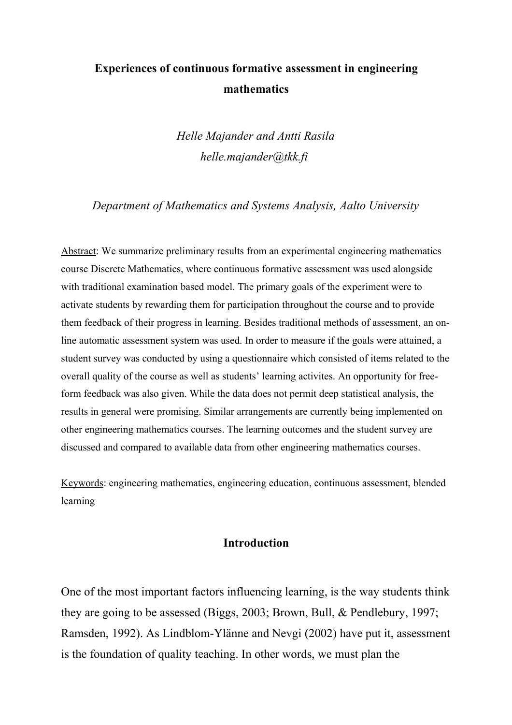# **Experiences of continuous formative assessment in engineering mathematics**

*Helle Majander and Antti Rasila helle.majander@tkk.fi* 

*Department of Mathematics and Systems Analysis, Aalto University*

Abstract: We summarize preliminary results from an experimental engineering mathematics course Discrete Mathematics, where continuous formative assessment was used alongside with traditional examination based model. The primary goals of the experiment were to activate students by rewarding them for participation throughout the course and to provide them feedback of their progress in learning. Besides traditional methods of assessment, an online automatic assessment system was used. In order to measure if the goals were attained, a student survey was conducted by using a questionnaire which consisted of items related to the overall quality of the course as well as students' learning activites. An opportunity for freeform feedback was also given. While the data does not permit deep statistical analysis, the results in general were promising. Similar arrangements are currently being implemented on other engineering mathematics courses. The learning outcomes and the student survey are discussed and compared to available data from other engineering mathematics courses.

Keywords: engineering mathematics, engineering education, continuous assessment, blended learning

## **Introduction**

One of the most important factors influencing learning, is the way students think they are going to be assessed (Biggs, 2003; Brown, Bull, & Pendlebury, 1997; Ramsden, 1992). As Lindblom-Ylänne and Nevgi (2002) have put it, assessment is the foundation of quality teaching. In other words, we must plan the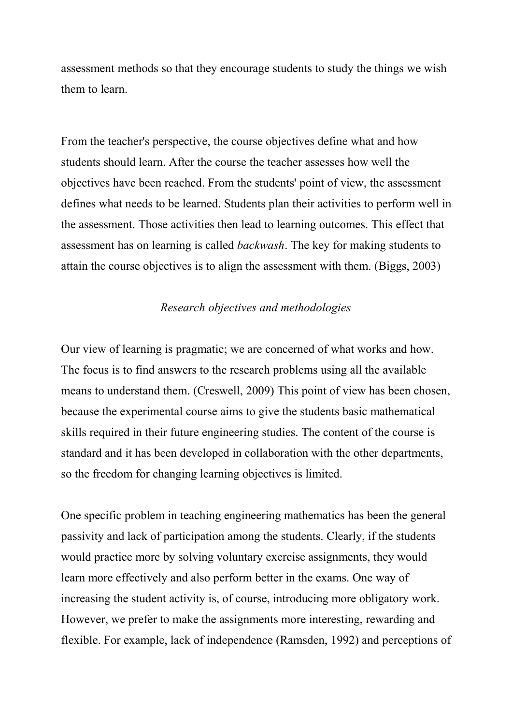assessment methods so that they encourage students to study the things we wish them to learn.

From the teacher's perspective, the course objectives define what and how students should learn. After the course the teacher assesses how well the objectives have been reached. From the students' point of view, the assessment defines what needs to be learned. Students plan their activities to perform well in the assessment. Those activities then lead to learning outcomes. This effect that assessment has on learning is called *backwash*. The key for making students to attain the course objectives is to align the assessment with them. (Biggs, 2003)

## *Research objectives and methodologies*

Our view of learning is pragmatic; we are concerned of what works and how. The focus is to find answers to the research problems using all the available means to understand them. (Creswell, 2009) This point of view has been chosen, because the experimental course aims to give the students basic mathematical skills required in their future engineering studies. The content of the course is standard and it has been developed in collaboration with the other departments, so the freedom for changing learning objectives is limited.

One specific problem in teaching engineering mathematics has been the general passivity and lack of participation among the students. Clearly, if the students would practice more by solving voluntary exercise assignments, they would learn more effectively and also perform better in the exams. One way of increasing the student activity is, of course, introducing more obligatory work. However, we prefer to make the assignments more interesting, rewarding and flexible. For example, lack of independence (Ramsden, 1992) and perceptions of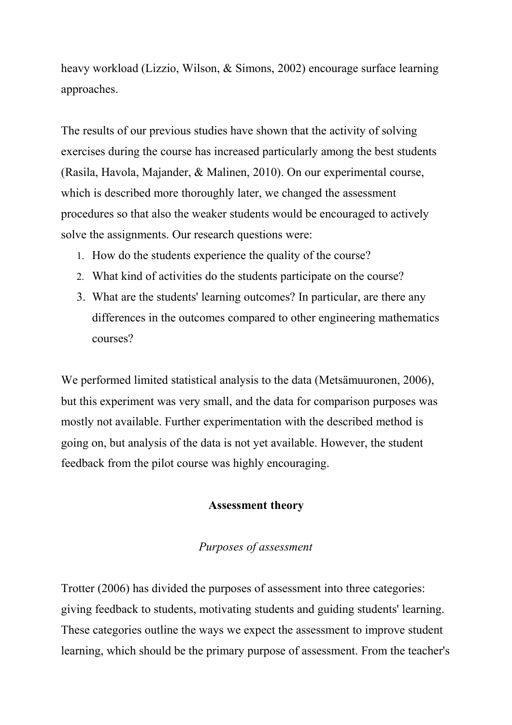heavy workload (Lizzio, Wilson, & Simons, 2002) encourage surface learning approaches.

The results of our previous studies have shown that the activity of solving exercises during the course has increased particularly among the best students (Rasila, Havola, Majander, & Malinen, 2010). On our experimental course, which is described more thoroughly later, we changed the assessment procedures so that also the weaker students would be encouraged to actively solve the assignments. Our research questions were:

- 1. How do the students experience the quality of the course?
- 2. What kind of activities do the students participate on the course?
- 3. What are the students' learning outcomes? In particular, are there any differences in the outcomes compared to other engineering mathematics courses?

We performed limited statistical analysis to the data (Metsämuuronen, 2006), but this experiment was very small, and the data for comparison purposes was mostly not available. Further experimentation with the described method is going on, but analysis of the data is not yet available. However, the student feedback from the pilot course was highly encouraging.

# **Assessment theory**

# *Purposes of assessment*

Trotter (2006) has divided the purposes of assessment into three categories: giving feedback to students, motivating students and guiding students' learning. These categories outline the ways we expect the assessment to improve student learning, which should be the primary purpose of assessment. From the teacher's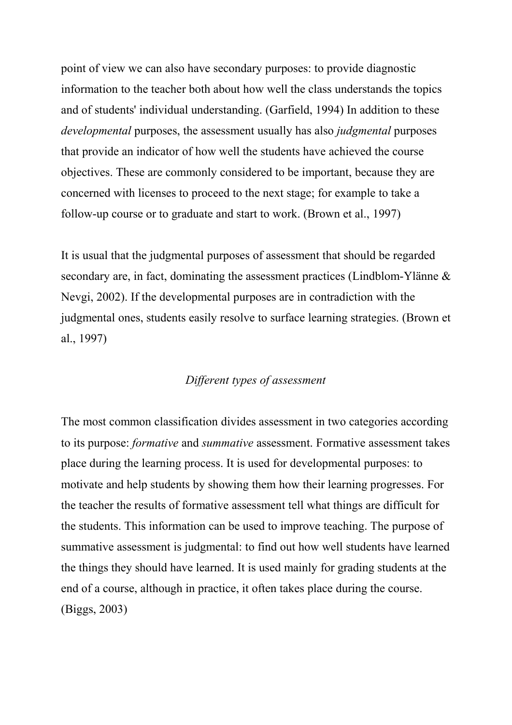point of view we can also have secondary purposes: to provide diagnostic information to the teacher both about how well the class understands the topics and of students' individual understanding. (Garfield, 1994) In addition to these *developmental* purposes, the assessment usually has also *judgmental* purposes that provide an indicator of how well the students have achieved the course objectives. These are commonly considered to be important, because they are concerned with licenses to proceed to the next stage; for example to take a follow-up course or to graduate and start to work. (Brown et al., 1997)

It is usual that the judgmental purposes of assessment that should be regarded secondary are, in fact, dominating the assessment practices (Lindblom-Ylänne & Nevgi, 2002). If the developmental purposes are in contradiction with the judgmental ones, students easily resolve to surface learning strategies. (Brown et al., 1997)

## *Different types of assessment*

The most common classification divides assessment in two categories according to its purpose: *formative* and *summative* assessment. Formative assessment takes place during the learning process. It is used for developmental purposes: to motivate and help students by showing them how their learning progresses. For the teacher the results of formative assessment tell what things are difficult for the students. This information can be used to improve teaching. The purpose of summative assessment is judgmental: to find out how well students have learned the things they should have learned. It is used mainly for grading students at the end of a course, although in practice, it often takes place during the course. (Biggs, 2003)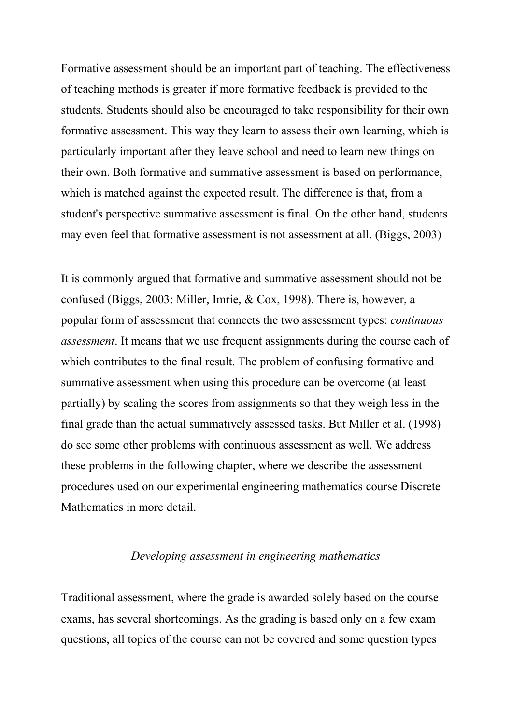Formative assessment should be an important part of teaching. The effectiveness of teaching methods is greater if more formative feedback is provided to the students. Students should also be encouraged to take responsibility for their own formative assessment. This way they learn to assess their own learning, which is particularly important after they leave school and need to learn new things on their own. Both formative and summative assessment is based on performance, which is matched against the expected result. The difference is that, from a student's perspective summative assessment is final. On the other hand, students may even feel that formative assessment is not assessment at all. (Biggs, 2003)

It is commonly argued that formative and summative assessment should not be confused (Biggs, 2003; Miller, Imrie, & Cox, 1998). There is, however, a popular form of assessment that connects the two assessment types: *continuous assessment*. It means that we use frequent assignments during the course each of which contributes to the final result. The problem of confusing formative and summative assessment when using this procedure can be overcome (at least partially) by scaling the scores from assignments so that they weigh less in the final grade than the actual summatively assessed tasks. But Miller et al. (1998) do see some other problems with continuous assessment as well. We address these problems in the following chapter, where we describe the assessment procedures used on our experimental engineering mathematics course Discrete Mathematics in more detail.

#### *Developing assessment in engineering mathematics*

Traditional assessment, where the grade is awarded solely based on the course exams, has several shortcomings. As the grading is based only on a few exam questions, all topics of the course can not be covered and some question types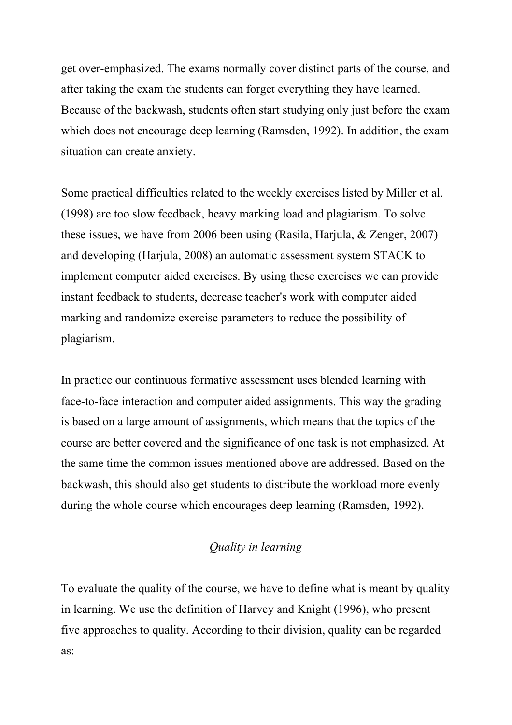get over-emphasized. The exams normally cover distinct parts of the course, and after taking the exam the students can forget everything they have learned. Because of the backwash, students often start studying only just before the exam which does not encourage deep learning (Ramsden, 1992). In addition, the exam situation can create anxiety.

Some practical difficulties related to the weekly exercises listed by Miller et al. (1998) are too slow feedback, heavy marking load and plagiarism. To solve these issues, we have from 2006 been using (Rasila, Harjula, & Zenger, 2007) and developing (Harjula, 2008) an automatic assessment system STACK to implement computer aided exercises. By using these exercises we can provide instant feedback to students, decrease teacher's work with computer aided marking and randomize exercise parameters to reduce the possibility of plagiarism.

In practice our continuous formative assessment uses blended learning with face-to-face interaction and computer aided assignments. This way the grading is based on a large amount of assignments, which means that the topics of the course are better covered and the significance of one task is not emphasized. At the same time the common issues mentioned above are addressed. Based on the backwash, this should also get students to distribute the workload more evenly during the whole course which encourages deep learning (Ramsden, 1992).

# *Quality in learning*

To evaluate the quality of the course, we have to define what is meant by quality in learning. We use the definition of Harvey and Knight (1996), who present five approaches to quality. According to their division, quality can be regarded as: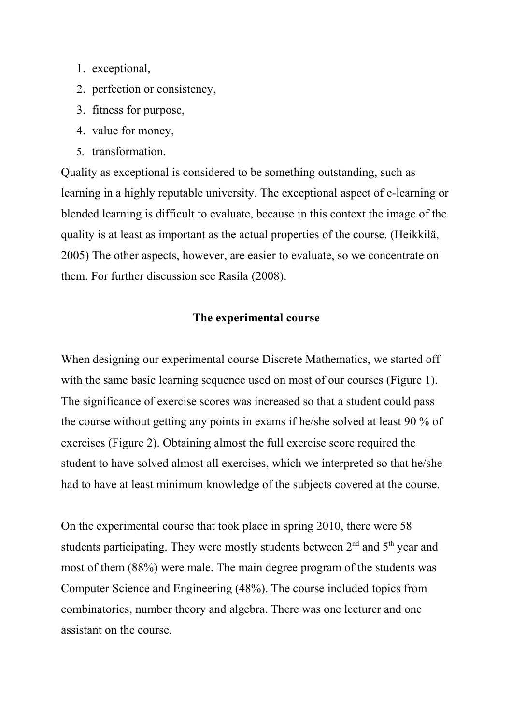- 1. exceptional,
- 2. perfection or consistency,
- 3. fitness for purpose,
- 4. value for money,
- 5. transformation.

Quality as exceptional is considered to be something outstanding, such as learning in a highly reputable university. The exceptional aspect of e-learning or blended learning is difficult to evaluate, because in this context the image of the quality is at least as important as the actual properties of the course. (Heikkilä, 2005) The other aspects, however, are easier to evaluate, so we concentrate on them. For further discussion see Rasila (2008).

## **The experimental course**

When designing our experimental course Discrete Mathematics, we started off with the same basic learning sequence used on most of our courses (Figure 1). The significance of exercise scores was increased so that a student could pass the course without getting any points in exams if he/she solved at least 90 % of exercises (Figure 2). Obtaining almost the full exercise score required the student to have solved almost all exercises, which we interpreted so that he/she had to have at least minimum knowledge of the subjects covered at the course.

On the experimental course that took place in spring 2010, there were 58 students participating. They were mostly students between 2<sup>nd</sup> and 5<sup>th</sup> year and most of them (88%) were male. The main degree program of the students was Computer Science and Engineering (48%). The course included topics from combinatorics, number theory and algebra. There was one lecturer and one assistant on the course.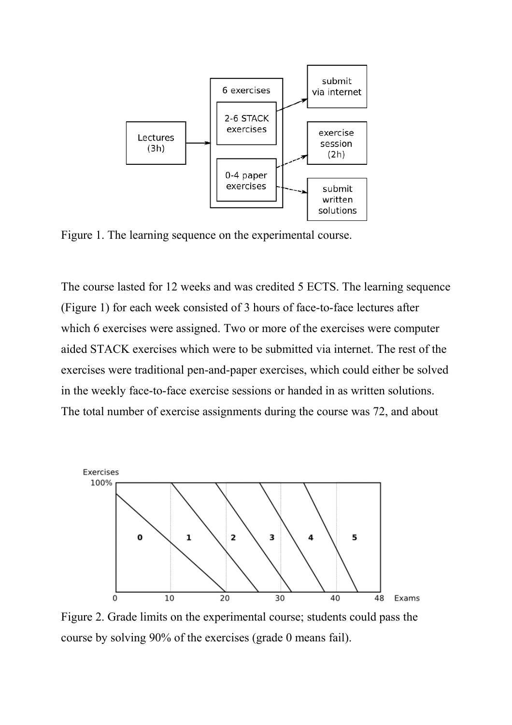

Figure 1. The learning sequence on the experimental course.

The course lasted for 12 weeks and was credited 5 ECTS. The learning sequence (Figure 1) for each week consisted of 3 hours of face-to-face lectures after which 6 exercises were assigned. Two or more of the exercises were computer aided STACK exercises which were to be submitted via internet. The rest of the exercises were traditional pen-and-paper exercises, which could either be solved in the weekly face-to-face exercise sessions or handed in as written solutions. The total number of exercise assignments during the course was 72, and about



Figure 2. Grade limits on the experimental course; students could pass the course by solving 90% of the exercises (grade 0 means fail).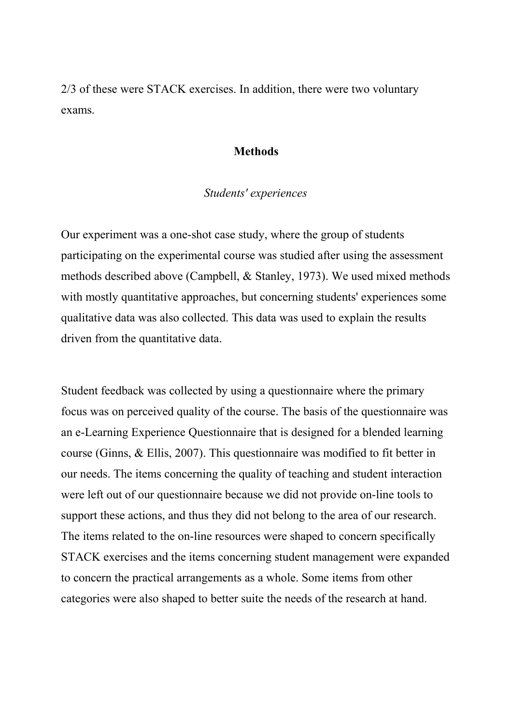2/3 of these were STACK exercises. In addition, there were two voluntary exams.

## **Methods**

## *Students' experiences*

Our experiment was a one-shot case study, where the group of students participating on the experimental course was studied after using the assessment methods described above (Campbell, & Stanley, 1973). We used mixed methods with mostly quantitative approaches, but concerning students' experiences some qualitative data was also collected. This data was used to explain the results driven from the quantitative data.

Student feedback was collected by using a questionnaire where the primary focus was on perceived quality of the course. The basis of the questionnaire was an e-Learning Experience Questionnaire that is designed for a blended learning course (Ginns, & Ellis, 2007). This questionnaire was modified to fit better in our needs. The items concerning the quality of teaching and student interaction were left out of our questionnaire because we did not provide on-line tools to support these actions, and thus they did not belong to the area of our research. The items related to the on-line resources were shaped to concern specifically STACK exercises and the items concerning student management were expanded to concern the practical arrangements as a whole. Some items from other categories were also shaped to better suite the needs of the research at hand.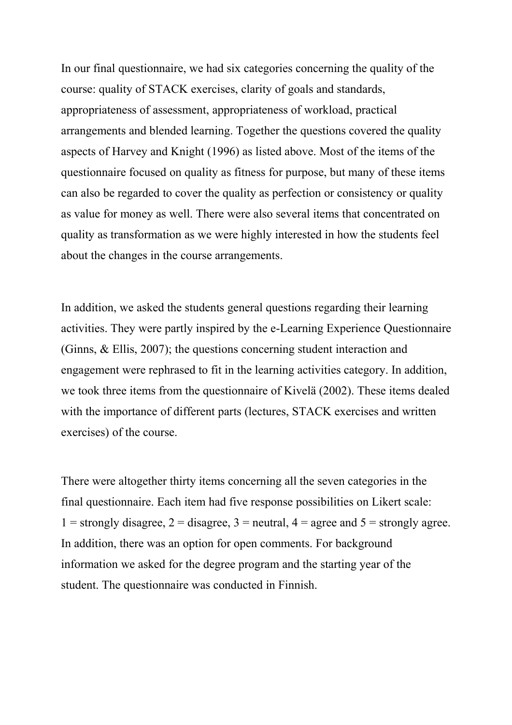In our final questionnaire, we had six categories concerning the quality of the course: quality of STACK exercises, clarity of goals and standards, appropriateness of assessment, appropriateness of workload, practical arrangements and blended learning. Together the questions covered the quality aspects of Harvey and Knight (1996) as listed above. Most of the items of the questionnaire focused on quality as fitness for purpose, but many of these items can also be regarded to cover the quality as perfection or consistency or quality as value for money as well. There were also several items that concentrated on quality as transformation as we were highly interested in how the students feel about the changes in the course arrangements.

In addition, we asked the students general questions regarding their learning activities. They were partly inspired by the e-Learning Experience Questionnaire (Ginns, & Ellis, 2007); the questions concerning student interaction and engagement were rephrased to fit in the learning activities category. In addition, we took three items from the questionnaire of Kivelä (2002). These items dealed with the importance of different parts (lectures, STACK exercises and written exercises) of the course.

There were altogether thirty items concerning all the seven categories in the final questionnaire. Each item had five response possibilities on Likert scale: 1 = strongly disagree, 2 = disagree, 3 = neutral,  $4$  = agree and  $5$  = strongly agree. In addition, there was an option for open comments. For background information we asked for the degree program and the starting year of the student. The questionnaire was conducted in Finnish.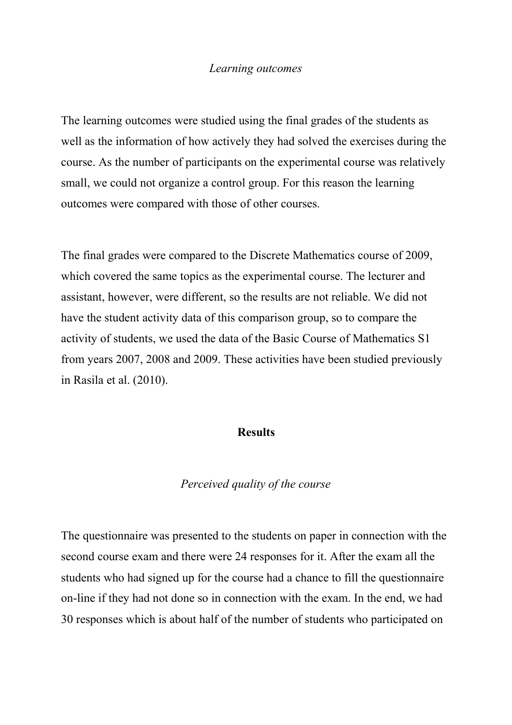#### *Learning outcomes*

The learning outcomes were studied using the final grades of the students as well as the information of how actively they had solved the exercises during the course. As the number of participants on the experimental course was relatively small, we could not organize a control group. For this reason the learning outcomes were compared with those of other courses.

The final grades were compared to the Discrete Mathematics course of 2009, which covered the same topics as the experimental course. The lecturer and assistant, however, were different, so the results are not reliable. We did not have the student activity data of this comparison group, so to compare the activity of students, we used the data of the Basic Course of Mathematics S1 from years 2007, 2008 and 2009. These activities have been studied previously in Rasila et al. (2010).

## **Results**

#### *Perceived quality of the course*

The questionnaire was presented to the students on paper in connection with the second course exam and there were 24 responses for it. After the exam all the students who had signed up for the course had a chance to fill the questionnaire on-line if they had not done so in connection with the exam. In the end, we had 30 responses which is about half of the number of students who participated on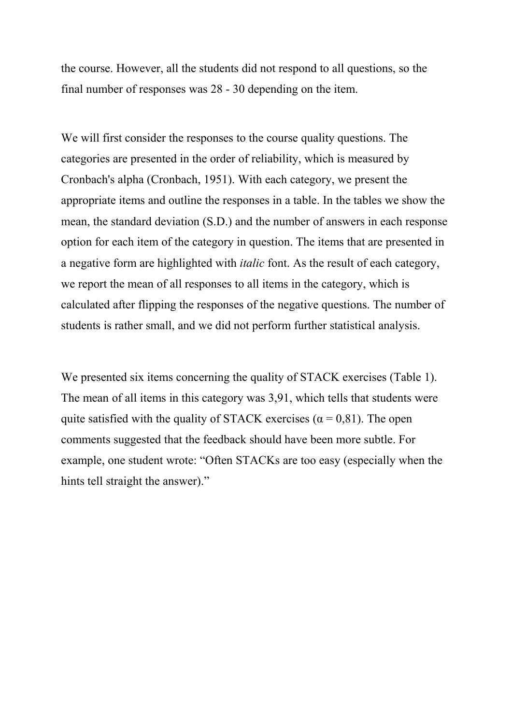the course. However, all the students did not respond to all questions, so the final number of responses was 28 - 30 depending on the item.

We will first consider the responses to the course quality questions. The categories are presented in the order of reliability, which is measured by Cronbach's alpha (Cronbach, 1951). With each category, we present the appropriate items and outline the responses in a table. In the tables we show the mean, the standard deviation (S.D.) and the number of answers in each response option for each item of the category in question. The items that are presented in a negative form are highlighted with *italic* font. As the result of each category, we report the mean of all responses to all items in the category, which is calculated after flipping the responses of the negative questions. The number of students is rather small, and we did not perform further statistical analysis.

We presented six items concerning the quality of STACK exercises (Table 1). The mean of all items in this category was 3,91, which tells that students were quite satisfied with the quality of STACK exercises ( $\alpha$  = 0,81). The open comments suggested that the feedback should have been more subtle. For example, one student wrote: "Often STACKs are too easy (especially when the hints tell straight the answer)."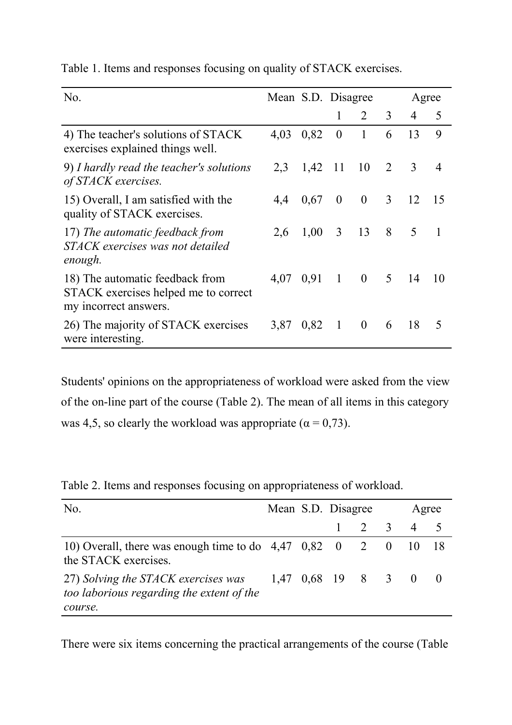| N <sub>0</sub>                                                                                   | Mean S.D. Disagree |                  |                |                         |                | Agree          |                |
|--------------------------------------------------------------------------------------------------|--------------------|------------------|----------------|-------------------------|----------------|----------------|----------------|
|                                                                                                  |                    |                  | 1              | $\overline{2}$          | 3              | 4              | 5              |
| 4) The teacher's solutions of STACK<br>exercises explained things well.                          | 4,03               | 0,82             | $\theta$       | $\mathbf{1}$            | 6              | 13             | 9              |
| 9) I hardly read the teacher's solutions<br>of STACK exercises.                                  |                    | $2,3$ 1,42 11 10 |                |                         | $\overline{2}$ | $\mathfrak{Z}$ | $\overline{4}$ |
| 15) Overall, I am satisfied with the<br>quality of STACK exercises.                              | 4.4                | 0,67             | $\overline{0}$ | $\overline{0}$          | $\mathfrak{Z}$ | 12             | -15            |
| 17) The automatic feedback from<br>STACK exercises was not detailed<br>enough.                   | 2.6                | $1,00 \quad 3$   |                | 13                      | 8              | 5              | $\blacksquare$ |
| 18) The automatic feedback from<br>STACK exercises helped me to correct<br>my incorrect answers. |                    | 4,07 0.91        | $\overline{1}$ | $\overline{\mathbf{0}}$ |                | $5 \t14$       | -10            |
| 26) The majority of STACK exercises<br>were interesting.                                         | 3,87               | 0,82             | $\mathbf{1}$   | $\mathbf{0}$            | 6              | 18             | 5              |

Table 1. Items and responses focusing on quality of STACK exercises.

Students' opinions on the appropriateness of workload were asked from the view of the on-line part of the course (Table 2). The mean of all items in this category was 4,5, so clearly the workload was appropriate ( $\alpha = 0.73$ ).

| No.                                                                                                                |  | Mean S.D. Disagree |       | Agree |  |  |
|--------------------------------------------------------------------------------------------------------------------|--|--------------------|-------|-------|--|--|
|                                                                                                                    |  | $1 \quad$          | 2 3 4 |       |  |  |
| 10) Overall, there was enough time to do $4,47$ 0,82 0 2 0 10 18<br>the STACK exercises.                           |  |                    |       |       |  |  |
| 27) Solving the STACK exercises was $1,47$ 0,68 19 8 3 0 0<br>too laborious regarding the extent of the<br>course. |  |                    |       |       |  |  |

Table 2. Items and responses focusing on appropriateness of workload.

There were six items concerning the practical arrangements of the course (Table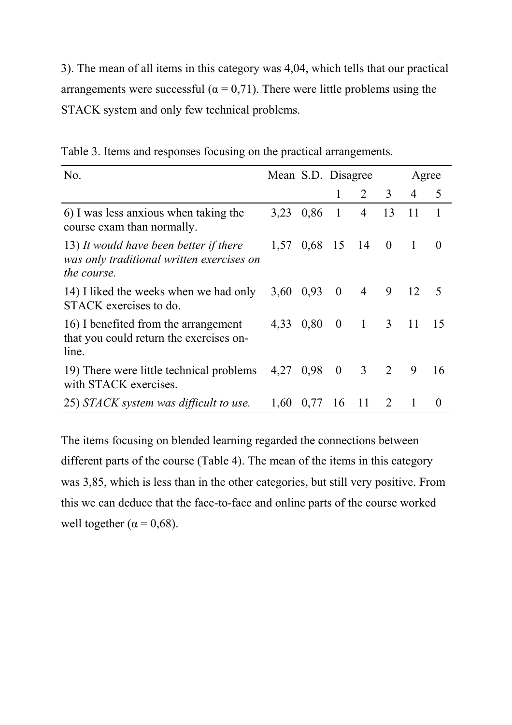3). The mean of all items in this category was 4,04, which tells that our practical arrangements were successful ( $\alpha = 0.71$ ). There were little problems using the STACK system and only few technical problems.

| No.                                                                                                       |           |                | Mean S.D. Disagree |                |                |                | Agree        |
|-----------------------------------------------------------------------------------------------------------|-----------|----------------|--------------------|----------------|----------------|----------------|--------------|
|                                                                                                           |           |                |                    | $\overline{2}$ | 3              | 4              | 5            |
| 6) I was less anxious when taking the<br>course exam than normally.                                       | 3,23      | 0,86           | $\overline{1}$     | 4              | 13             | 11             | $\mathbf{1}$ |
| 13) It would have been better if there<br>was only traditional written exercises on<br><i>the course.</i> | 1,57      | $0.68$ 15 14 0 |                    |                |                | $\blacksquare$ | $\theta$     |
| 14) I liked the weeks when we had only<br>STACK exercises to do.                                          | 3,60 0,93 |                | $\overline{0}$     | $\overline{4}$ | 9              | 12             | -5           |
| 16) I benefited from the arrangement<br>that you could return the exercises on-<br>line.                  | 4.33      | 0,80           | $\overline{0}$     | $\sim$ 1       | $\overline{3}$ | <sup>11</sup>  | -15          |
| 19) There were little technical problems<br>with STACK exercises.                                         | 4,27 0,98 |                | $\overline{0}$     | 3 2            |                | 9              | 16           |
| 25) STACK system was difficult to use.                                                                    | 1.60      | 0,77           | 16                 | <sup>11</sup>  | 2              | 1              | $\theta$     |

Table 3. Items and responses focusing on the practical arrangements.

The items focusing on blended learning regarded the connections between different parts of the course (Table 4). The mean of the items in this category was 3,85, which is less than in the other categories, but still very positive. From this we can deduce that the face-to-face and online parts of the course worked well together ( $\alpha$  = 0,68).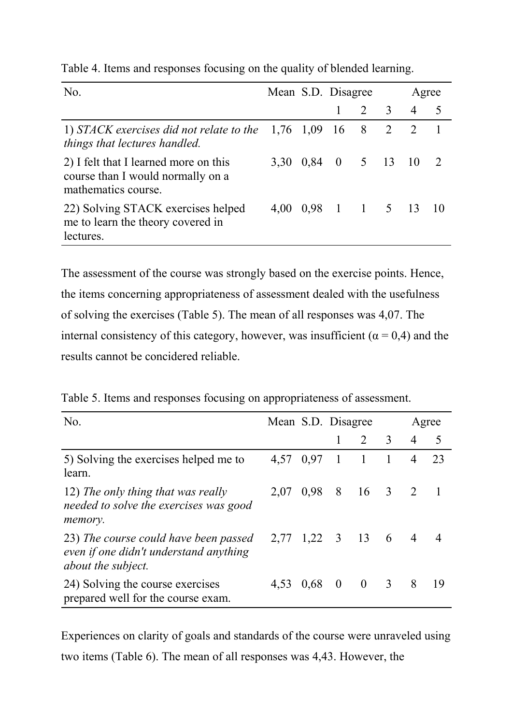| No.                                                                                               | Mean S.D. Disagree |               |                |                | Agree          |     |
|---------------------------------------------------------------------------------------------------|--------------------|---------------|----------------|----------------|----------------|-----|
|                                                                                                   |                    |               | $2 \quad 3$    |                | $\overline{4}$ | - 5 |
| 1) STACK exercises did not relate to the $1,76$ 1,09<br>things that lectures handled.             |                    | <sup>16</sup> | 8 <sup>8</sup> | $\overline{2}$ | 2              |     |
| 2) I felt that I learned more on this<br>course than I would normally on a<br>mathematics course. | 3,30 0,84 0 5 13   |               |                |                | $\sqrt{10}$    |     |
| 22) Solving STACK exercises helped<br>me to learn the theory covered in<br>lectures.              | 4,00 0,98 1 1 5 13 |               |                |                |                |     |

Table 4. Items and responses focusing on the quality of blended learning.

The assessment of the course was strongly based on the exercise points. Hence, the items concerning appropriateness of assessment dealed with the usefulness of solving the exercises (Table 5). The mean of all responses was 4,07. The internal consistency of this category, however, was insufficient ( $\alpha = 0.4$ ) and the results cannot be concidered reliable.

| Table 5. Items and responses focusing on appropriateness of assessment. |  |
|-------------------------------------------------------------------------|--|
|-------------------------------------------------------------------------|--|

| No.                                                                                                   | Mean S.D. Disagree |      |          |                | Agree                   |                |     |  |
|-------------------------------------------------------------------------------------------------------|--------------------|------|----------|----------------|-------------------------|----------------|-----|--|
|                                                                                                       |                    |      |          | $\overline{2}$ | $\overline{3}$          | $\overline{4}$ | 5   |  |
| 5) Solving the exercises helped me to<br>learn.                                                       | 4.57               | 0,97 | -1       | $\overline{1}$ |                         | $\overline{4}$ | 23  |  |
| 12) The only thing that was really<br>needed to solve the exercises was good<br>memory.               | 2.07               | 0.98 |          | 8 16 3 2       |                         |                |     |  |
| 23) The course could have been passed<br>even if one didn't understand anything<br>about the subject. | 2,77 1,22 3 13 6 4 |      |          |                |                         |                |     |  |
| 24) Solving the course exercises<br>prepared well for the course exam.                                | 4,53 0,68          |      | $\bf{0}$ | $\overline{0}$ | $\overline{\mathbf{3}}$ | 8              | -19 |  |

Experiences on clarity of goals and standards of the course were unraveled using two items (Table 6). The mean of all responses was 4,43. However, the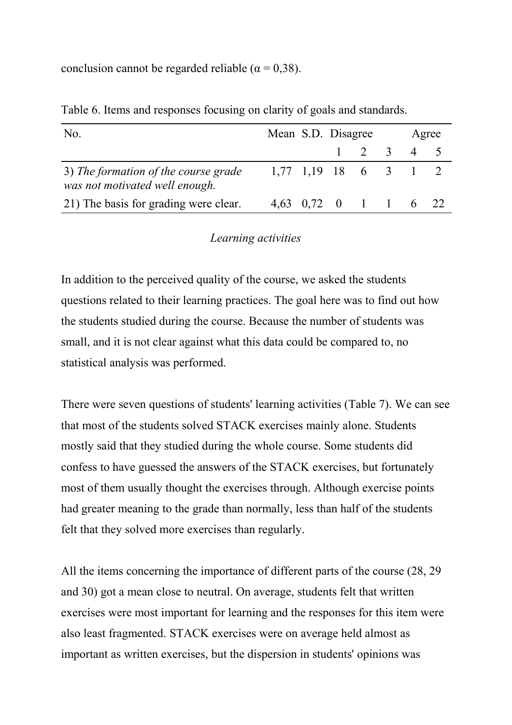conclusion cannot be regarded reliable ( $\alpha = 0.38$ ).

| No.                                                                    |                        | Mean S.D. Disagree |                     | Agree |  |  |
|------------------------------------------------------------------------|------------------------|--------------------|---------------------|-------|--|--|
|                                                                        |                        |                    | $1 \t2 \t3 \t4 \t5$ |       |  |  |
| 3) The formation of the course grade<br>was not motivated well enough. | $1,77$ 1,19 18 6 3 1 2 |                    |                     |       |  |  |
| 21) The basis for grading were clear.                                  | 4,63 0,72 0 1 1 6 22   |                    |                     |       |  |  |

Table 6. Items and responses focusing on clarity of goals and standards.

## *Learning activities*

In addition to the perceived quality of the course, we asked the students questions related to their learning practices. The goal here was to find out how the students studied during the course. Because the number of students was small, and it is not clear against what this data could be compared to, no statistical analysis was performed.

There were seven questions of students' learning activities (Table 7). We can see that most of the students solved STACK exercises mainly alone. Students mostly said that they studied during the whole course. Some students did confess to have guessed the answers of the STACK exercises, but fortunately most of them usually thought the exercises through. Although exercise points had greater meaning to the grade than normally, less than half of the students felt that they solved more exercises than regularly.

All the items concerning the importance of different parts of the course (28, 29 and 30) got a mean close to neutral. On average, students felt that written exercises were most important for learning and the responses for this item were also least fragmented. STACK exercises were on average held almost as important as written exercises, but the dispersion in students' opinions was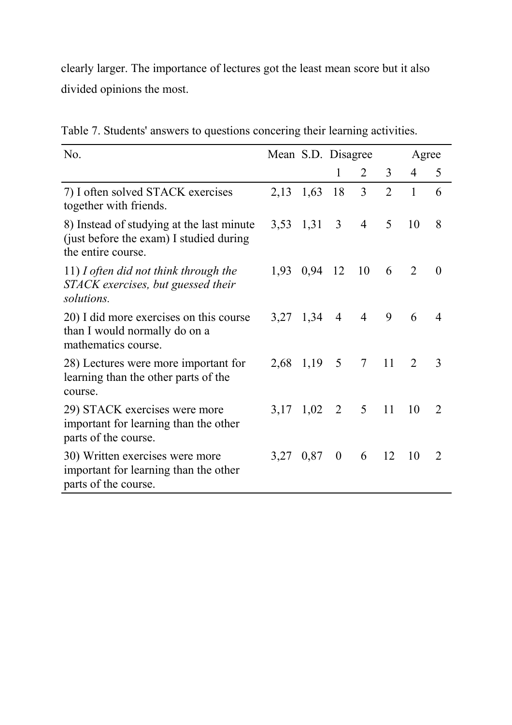clearly larger. The importance of lectures got the least mean score but it also divided opinions the most.

| No.                                                                                                        | Mean S.D. Disagree |         |                  |                 |                | Agree          |                |
|------------------------------------------------------------------------------------------------------------|--------------------|---------|------------------|-----------------|----------------|----------------|----------------|
|                                                                                                            |                    |         | 1                | 2               | $\overline{3}$ | $\overline{4}$ | 5              |
| 7) I often solved STACK exercises<br>together with friends.                                                | 2,13               | 1,63    | 18               | $\overline{3}$  | $\overline{2}$ | $\mathbf{1}$   | 6              |
| 8) Instead of studying at the last minute<br>(just before the exam) I studied during<br>the entire course. | 3,53 1,31          |         | $\mathfrak{Z}$   | $\overline{4}$  | 5              | 10             | 8              |
| 11) I often did not think through the<br>STACK exercises, but guessed their<br>solutions.                  | 1,93               | 0,94 12 |                  | 10              | 6              | $\overline{2}$ | $\theta$       |
| 20) I did more exercises on this course<br>than I would normally do on a<br>mathematics course.            | 3,27 1,34          |         | $\overline{4}$   | $\overline{4}$  | 9              | 6              | 4              |
| 28) Lectures were more important for<br>learning than the other parts of the<br>course.                    | 2,68               | 1,19    | 5                | $7\overline{ }$ | 11             | $\overline{2}$ | 3              |
| 29) STACK exercises were more<br>important for learning than the other<br>parts of the course.             | 3,17               | 1,02    | 2                | 5 <sup>5</sup>  | 11             | 10             | $\overline{2}$ |
| 30) Written exercises were more<br>important for learning than the other<br>parts of the course.           | 3,27               | 0,87    | $\boldsymbol{0}$ | 6               | 12             | 10             | $\overline{2}$ |

Table 7. Students' answers to questions concering their learning activities.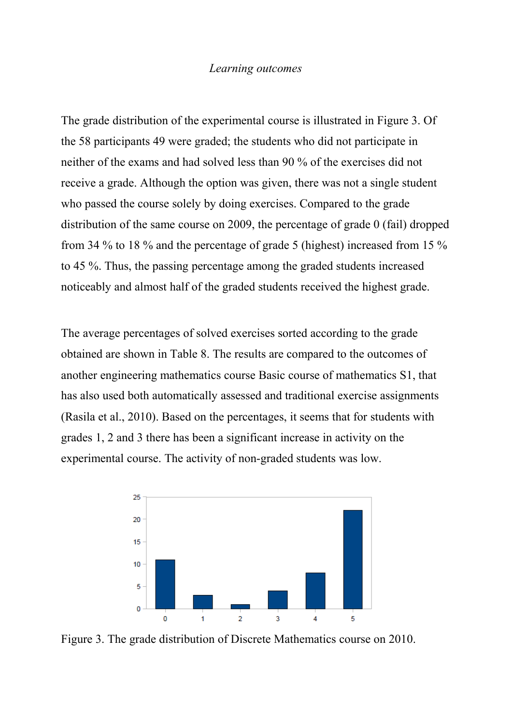#### *Learning outcomes*

The grade distribution of the experimental course is illustrated in Figure 3. Of the 58 participants 49 were graded; the students who did not participate in neither of the exams and had solved less than 90 % of the exercises did not receive a grade. Although the option was given, there was not a single student who passed the course solely by doing exercises. Compared to the grade distribution of the same course on 2009, the percentage of grade 0 (fail) dropped from 34 % to 18 % and the percentage of grade 5 (highest) increased from 15 % to 45 %. Thus, the passing percentage among the graded students increased noticeably and almost half of the graded students received the highest grade.

The average percentages of solved exercises sorted according to the grade obtained are shown in Table 8. The results are compared to the outcomes of another engineering mathematics course Basic course of mathematics S1, that has also used both automatically assessed and traditional exercise assignments (Rasila et al., 2010). Based on the percentages, it seems that for students with grades 1, 2 and 3 there has been a significant increase in activity on the experimental course. The activity of non-graded students was low.



Figure 3. The grade distribution of Discrete Mathematics course on 2010.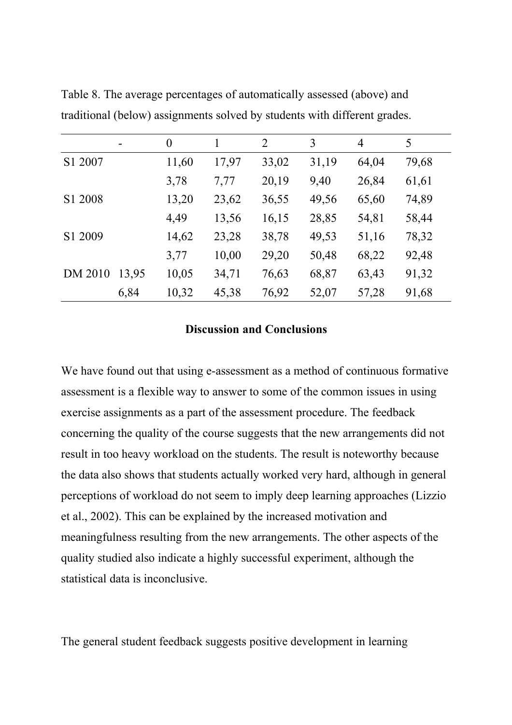|         |       | $\theta$ |       | 2     | 3     | $\overline{4}$ | 5     |
|---------|-------|----------|-------|-------|-------|----------------|-------|
| S1 2007 |       | 11,60    | 17,97 | 33,02 | 31,19 | 64,04          | 79,68 |
|         |       | 3,78     | 7,77  | 20,19 | 9,40  | 26,84          | 61,61 |
| S1 2008 |       | 13,20    | 23,62 | 36,55 | 49,56 | 65,60          | 74,89 |
|         |       | 4,49     | 13,56 | 16,15 | 28,85 | 54,81          | 58,44 |
| S1 2009 |       | 14,62    | 23,28 | 38,78 | 49,53 | 51,16          | 78,32 |
|         |       | 3,77     | 10,00 | 29,20 | 50,48 | 68,22          | 92,48 |
| DM 2010 | 13,95 | 10,05    | 34,71 | 76,63 | 68,87 | 63,43          | 91,32 |
|         | 6,84  | 10,32    | 45,38 | 76,92 | 52,07 | 57,28          | 91,68 |

Table 8. The average percentages of automatically assessed (above) and traditional (below) assignments solved by students with different grades.

## **Discussion and Conclusions**

We have found out that using e-assessment as a method of continuous formative assessment is a flexible way to answer to some of the common issues in using exercise assignments as a part of the assessment procedure. The feedback concerning the quality of the course suggests that the new arrangements did not result in too heavy workload on the students. The result is noteworthy because the data also shows that students actually worked very hard, although in general perceptions of workload do not seem to imply deep learning approaches (Lizzio et al., 2002). This can be explained by the increased motivation and meaningfulness resulting from the new arrangements. The other aspects of the quality studied also indicate a highly successful experiment, although the statistical data is inconclusive.

The general student feedback suggests positive development in learning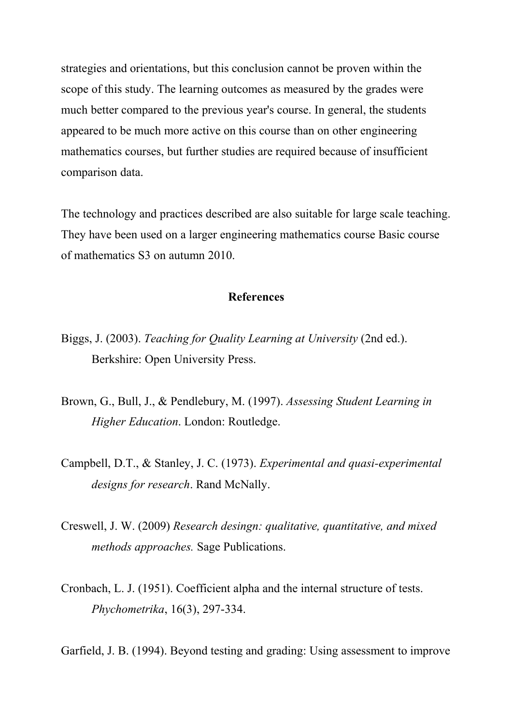strategies and orientations, but this conclusion cannot be proven within the scope of this study. The learning outcomes as measured by the grades were much better compared to the previous year's course. In general, the students appeared to be much more active on this course than on other engineering mathematics courses, but further studies are required because of insufficient comparison data.

The technology and practices described are also suitable for large scale teaching. They have been used on a larger engineering mathematics course Basic course of mathematics S3 on autumn 2010.

#### **References**

- Biggs, J. (2003). *Teaching for Quality Learning at University* (2nd ed.). Berkshire: Open University Press.
- Brown, G., Bull, J., & Pendlebury, M. (1997). *Assessing Student Learning in Higher Education*. London: Routledge.
- Campbell, D.T., & Stanley, J. C. (1973). *Experimental and quasi-experimental designs for research*. Rand McNally.
- Creswell, J. W. (2009) *Research desingn: qualitative, quantitative, and mixed methods approaches.* Sage Publications.
- Cronbach, L. J. (1951). Coefficient alpha and the internal structure of tests. *Phychometrika*, 16(3), 297-334.

Garfield, J. B. (1994). Beyond testing and grading: Using assessment to improve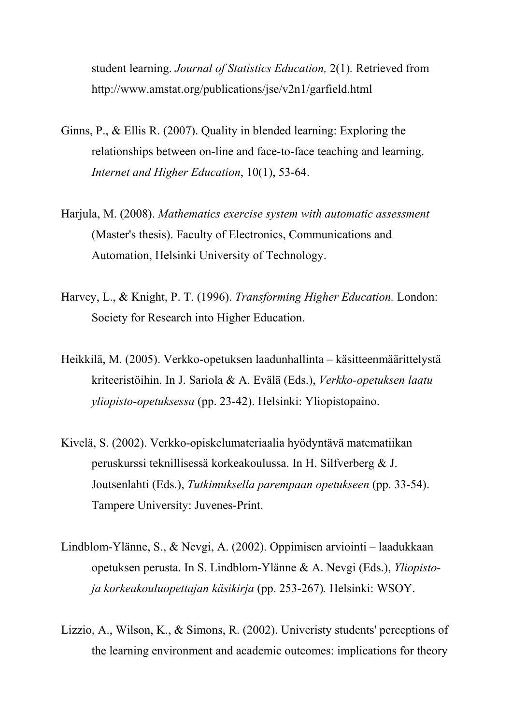student learning. *Journal of Statistics Education,* 2(1)*.* Retrieved from http://www.amstat.org/publications/jse/v2n1/garfield.html

- Ginns, P., & Ellis R. (2007). Quality in blended learning: Exploring the relationships between on-line and face-to-face teaching and learning. *Internet and Higher Education*, 10(1), 53-64.
- Harjula, M. (2008). *Mathematics exercise system with automatic assessment* (Master's thesis). Faculty of Electronics, Communications and Automation, Helsinki University of Technology.
- Harvey, L., & Knight, P. T. (1996). *Transforming Higher Education.* London: Society for Research into Higher Education.
- Heikkilä, M. (2005). Verkko-opetuksen laadunhallinta käsitteenmäärittelystä kriteeristöihin. In J. Sariola & A. Evälä (Eds.), *Verkko-opetuksen laatu yliopisto-opetuksessa* (pp. 23-42). Helsinki: Yliopistopaino.
- Kivelä, S. (2002). Verkko-opiskelumateriaalia hyödyntävä matematiikan peruskurssi teknillisessä korkeakoulussa. In H. Silfverberg & J. Joutsenlahti (Eds.), *Tutkimuksella parempaan opetukseen* (pp. 33-54). Tampere University: Juvenes-Print.
- Lindblom-Ylänne, S., & Nevgi, A. (2002). Oppimisen arviointi laadukkaan opetuksen perusta. In S. Lindblom-Ylänne & A. Nevgi (Eds.), *Yliopistoja korkeakouluopettajan käsikirja* (pp. 253-267)*.* Helsinki: WSOY.
- Lizzio, A., Wilson, K., & Simons, R. (2002). Univeristy students' perceptions of the learning environment and academic outcomes: implications for theory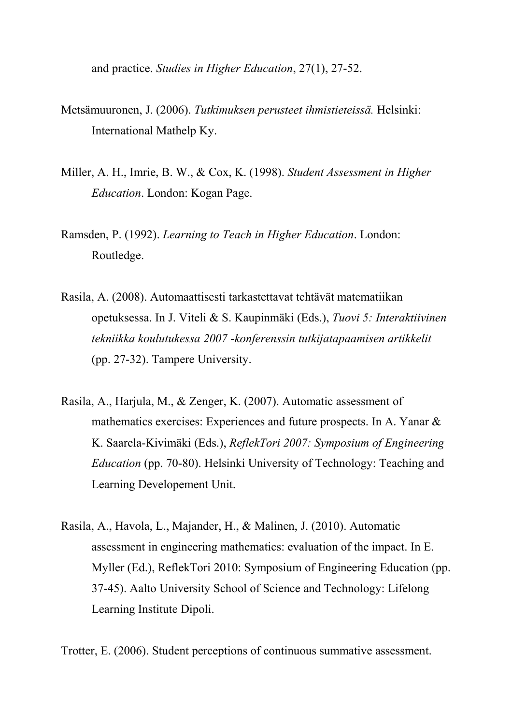and practice. *Studies in Higher Education*, 27(1), 27-52.

- Metsämuuronen, J. (2006). *Tutkimuksen perusteet ihmistieteissä.* Helsinki: International Mathelp Ky.
- Miller, A. H., Imrie, B. W., & Cox, K. (1998). *Student Assessment in Higher Education*. London: Kogan Page.
- Ramsden, P. (1992). *Learning to Teach in Higher Education*. London: Routledge.
- Rasila, A. (2008). Automaattisesti tarkastettavat tehtävät matematiikan opetuksessa. In J. Viteli & S. Kaupinmäki (Eds.), *Tuovi 5: Interaktiivinen tekniikka koulutukessa 2007 -konferenssin tutkijatapaamisen artikkelit* (pp. 27-32). Tampere University.
- Rasila, A., Harjula, M., & Zenger, K. (2007). Automatic assessment of mathematics exercises: Experiences and future prospects. In A. Yanar & K. Saarela-Kivimäki (Eds.), *ReflekTori 2007: Symposium of Engineering Education* (pp. 70-80). Helsinki University of Technology: Teaching and Learning Developement Unit.
- Rasila, A., Havola, L., Majander, H., & Malinen, J. (2010). Automatic assessment in engineering mathematics: evaluation of the impact. In E. Myller (Ed.), ReflekTori 2010: Symposium of Engineering Education (pp. 37-45). Aalto University School of Science and Technology: Lifelong Learning Institute Dipoli.

Trotter, E. (2006). Student perceptions of continuous summative assessment.